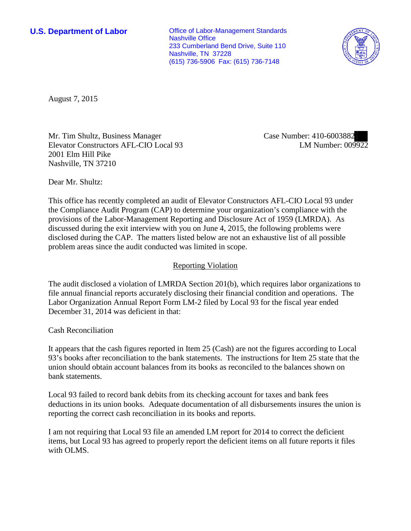**U.S. Department of Labor Conservative Conservative Conservative Conservative Conservative Conservative Conservative Conservative Conservative Conservative Conservative Conservative Conservative Conservative Conservative** Nashville Office 233 Cumberland Bend Drive, Suite 110 Nashville, TN 37228 (615) 736-5906 Fax: (615) 736-7148



August 7, 2015

Mr. Tim Shultz, Business Manager Elevator Constructors AFL-CIO Local 93 2001 Elm Hill Pike Nashville, TN 37210

Case Number: 410-6003882 LM Number: 009922

Dear Mr. Shultz:

This office has recently completed an audit of Elevator Constructors AFL-CIO Local 93 under the Compliance Audit Program (CAP) to determine your organization's compliance with the provisions of the Labor-Management Reporting and Disclosure Act of 1959 (LMRDA). As discussed during the exit interview with you on June 4, 2015, the following problems were disclosed during the CAP. The matters listed below are not an exhaustive list of all possible problem areas since the audit conducted was limited in scope.

## Reporting Violation

The audit disclosed a violation of LMRDA Section 201(b), which requires labor organizations to file annual financial reports accurately disclosing their financial condition and operations. The Labor Organization Annual Report Form LM-2 filed by Local 93 for the fiscal year ended December 31, 2014 was deficient in that:

Cash Reconciliation

It appears that the cash figures reported in Item 25 (Cash) are not the figures according to Local 93's books after reconciliation to the bank statements. The instructions for Item 25 state that the union should obtain account balances from its books as reconciled to the balances shown on bank statements.

Local 93 failed to record bank debits from its checking account for taxes and bank fees deductions in its union books. Adequate documentation of all disbursements insures the union is reporting the correct cash reconciliation in its books and reports.

I am not requiring that Local 93 file an amended LM report for 2014 to correct the deficient items, but Local 93 has agreed to properly report the deficient items on all future reports it files with OLMS.